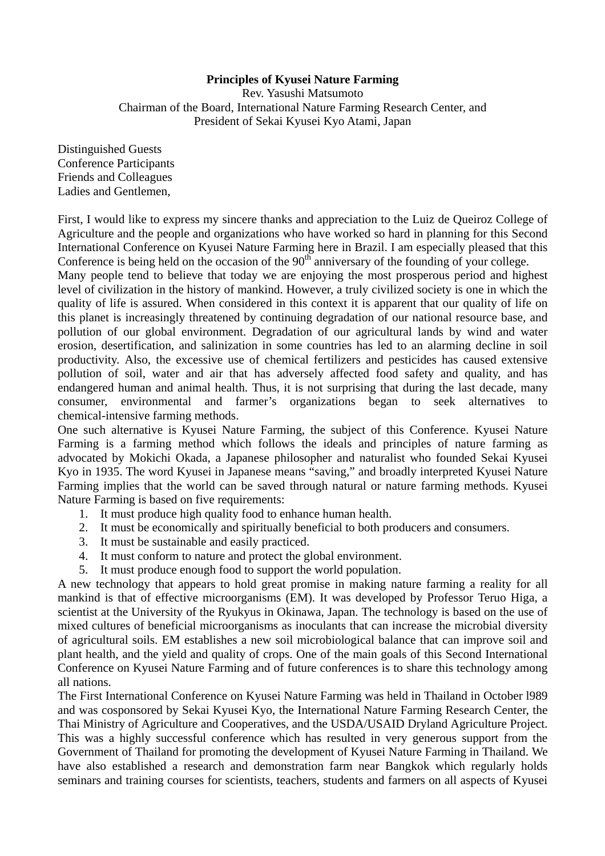## **Principles of Kyusei Nature Farming**

Rev. Yasushi Matsumoto Chairman of the Board, International Nature Farming Research Center, and President of Sekai Kyusei Kyo Atami, Japan

Distinguished Guests Conference Participants Friends and Colleagues Ladies and Gentlemen,

First, I would like to express my sincere thanks and appreciation to the Luiz de Queiroz College of Agriculture and the people and organizations who have worked so hard in planning for this Second International Conference on Kyusei Nature Farming here in Brazil. I am especially pleased that this Conference is being held on the occasion of the  $90<sup>th</sup>$  anniversary of the founding of your college.

Many people tend to believe that today we are enjoying the most prosperous period and highest level of civilization in the history of mankind. However, a truly civilized society is one in which the quality of life is assured. When considered in this context it is apparent that our quality of life on this planet is increasingly threatened by continuing degradation of our national resource base, and pollution of our global environment. Degradation of our agricultural lands by wind and water erosion, desertification, and salinization in some countries has led to an alarming decline in soil productivity. Also, the excessive use of chemical fertilizers and pesticides has caused extensive pollution of soil, water and air that has adversely affected food safety and quality, and has endangered human and animal health. Thus, it is not surprising that during the last decade, many consumer, environmental and farmer's organizations began to seek alternatives to chemical-intensive farming methods.

One such alternative is Kyusei Nature Farming, the subject of this Conference. Kyusei Nature Farming is a farming method which follows the ideals and principles of nature farming as advocated by Mokichi Okada, a Japanese philosopher and naturalist who founded Sekai Kyusei Kyo in 1935. The word Kyusei in Japanese means "saving," and broadly interpreted Kyusei Nature Farming implies that the world can be saved through natural or nature farming methods. Kyusei Nature Farming is based on five requirements:

- 1. It must produce high quality food to enhance human health.
- 2. It must be economically and spiritually beneficial to both producers and consumers.
- 3. It must be sustainable and easily practiced.
- 4. It must conform to nature and protect the global environment.
- 5. It must produce enough food to support the world population.

A new technology that appears to hold great promise in making nature farming a reality for all mankind is that of effective microorganisms (EM). It was developed by Professor Teruo Higa, a scientist at the University of the Ryukyus in Okinawa, Japan. The technology is based on the use of mixed cultures of beneficial microorganisms as inoculants that can increase the microbial diversity of agricultural soils. EM establishes a new soil microbiological balance that can improve soil and plant health, and the yield and quality of crops. One of the main goals of this Second International Conference on Kyusei Nature Farming and of future conferences is to share this technology among all nations.

The First International Conference on Kyusei Nature Farming was held in Thailand in October l989 and was cosponsored by Sekai Kyusei Kyo, the International Nature Farming Research Center, the Thai Ministry of Agriculture and Cooperatives, and the USDA/USAID Dryland Agriculture Project. This was a highly successful conference which has resulted in very generous support from the Government of Thailand for promoting the development of Kyusei Nature Farming in Thailand. We have also established a research and demonstration farm near Bangkok which regularly holds seminars and training courses for scientists, teachers, students and farmers on all aspects of Kyusei